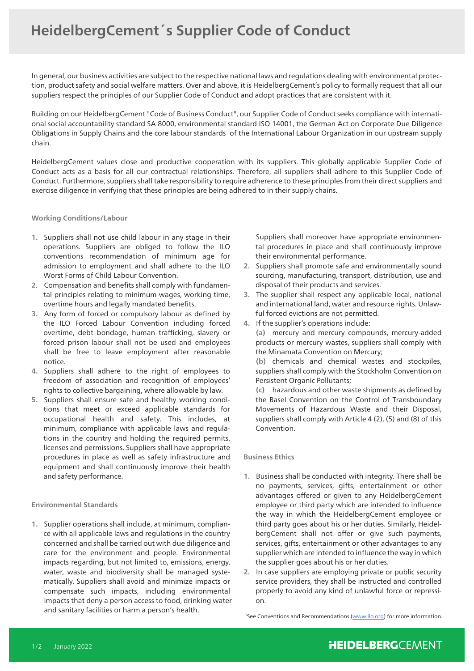In general, our business activities are subject to the respective national laws and regulations dealing with environmental protection, product safety and social welfare matters. Over and above, it is HeidelbergCement's policy to formally request that all our suppliers respect the principles of our Supplier Code of Conduct and adopt practices that are consistent with it.

Building on our HeidelbergCement "Code of Business Conduct", our Supplier Code of Conduct seeks compliance with international social accountability standard SA 8000, environmental standard ISO 14001, the German Act on Corporate Due Diligence Obligations in Supply Chains and the core labour standards of the International Labour Organization in our upstream supply chain.

HeidelbergCement values close and productive cooperation with its suppliers. This globally applicable Supplier Code of Conduct acts as a basis for all our contractual relationships. Therefore, all suppliers shall adhere to this Supplier Code of Conduct. Furthermore, suppliers shall take responsibility to require adherence to these principles from their direct suppliers and exercise diligence in verifying that these principles are being adhered to in their supply chains.

#### **Working Conditions/Labour**

- **1.** Suppliers shall not use child labour in any stage in their operations. Suppliers are obliged to follow the ILO conventions recommendation of minimum age for admission to employment and shall adhere to the ILO Worst Forms of Child Labour Convention.
- **2**. Compensation and benefits shall comply with fundamental principles relating to minimum wages, working time, overtime hours and legally mandated benefits.
- **3.** Any form of forced or compulsory labour as defined by the ILO Forced Labour Convention including forced overtime, debt bondage, human trafficking, slavery or forced prison labour shall not be used and employees shall be free to leave employment after reasonable notice.
- **4.** Suppliers shall adhere to the right of employees to freedom of association and recognition of employees' rights to collective bargaining, where allowable by law.
- **5.** Suppliers shall ensure safe and healthy working conditions that meet or exceed applicable standards for occupational health and safety. This includes, at minimum, compliance with applicable laws and regulations in the country and holding the required permits, licenses and permissions. Suppliers shall have appropriate procedures in place as well as safety infrastructure and equipment and shall continuously improve their health and safety performance.

### **Environmental Standards**

**1.** Supplier operations shall include, at minimum, compliance with all applicable laws and regulations in the country concerned and shall be carried out with due diligence and care for the environment and people. Environmental impacts regarding, but not limited to, emissions, energy, water, waste and biodiversity shall be managed systematically. Suppliers shall avoid and minimize impacts or compensate such impacts, including environmental impacts that deny a person access to food, drinking water and sanitary facilities or harm a person's health.

 Suppliers shall moreover have appropriate environmental procedures in place and shall continuously improve their environmental performance.

- **2.** Suppliers shall promote safe and environmentally sound sourcing, manufacturing, transport, distribution, use and disposal of their products and services.
- **3.** The supplier shall respect any applicable local, national and international land, water and resource rights. Unlawful forced evictions are not permitted.
- **4.** If the supplier's operations include:

**(a)** mercury and mercury compounds, mercury-added products or mercury wastes, suppliers shall comply with the Minamata Convention on Mercury;

**(b)** chemicals and chemical wastes and stockpiles, suppliers shall comply with the Stockholm Convention on Persistent Organic Pollutants;

**(c)** hazardous and other waste shipments as defined by the Basel Convention on the Control of Transboundary Movements of Hazardous Waste and their Disposal, suppliers shall comply with Article 4 (2), (5) and (8) of this Convention.

### **Business Ethics**

- **1.** Business shall be conducted with integrity. There shall be no payments, services, gifts, entertainment or other advantages offered or given to any HeidelbergCement employee or third party which are intended to influence the way in which the HeidelbergCement employee or third party goes about his or her duties. Similarly, HeidelbergCement shall not offer or give such payments, services, gifts, entertainment or other advantages to any supplier which are intended to influence the way in which the supplier goes about his or her duties.
- **2.** In case suppliers are employing private or public security service providers, they shall be instructed and controlled properly to avoid any kind of unlawful force or repression.

<sup>1</sup>See Conventions and Recommendations (www.ilo.org) for more information.

### **HEIDELBERGCEMENT**